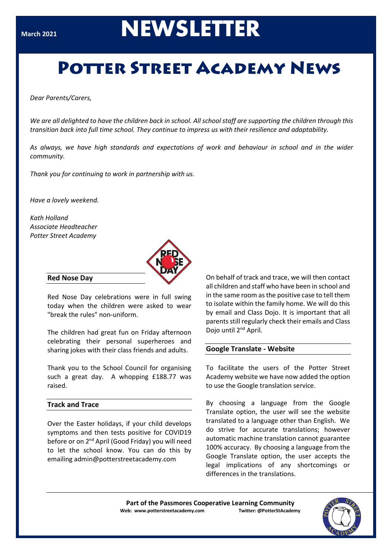# **NEWSLETTER**

# **POTTER STREET ACADEMY NEWS**

*Dear Parents/Carers,*

*We are all delighted to have the children back in school. All school staff are supporting the children through this transition back into full time school. They continue to impress us with their resilience and adaptability.*

*As always, we have high standards and expectations of work and behaviour in school and in the wider community.*

*Thank you for continuing to work in partnership with us.* 

*Have a lovely weekend.*

*Kath Holland Associate Headteacher Potter Street Academy*



#### **Red Nose Day**

Red Nose Day celebrations were in full swing today when the children were asked to wear "break the rules" non-uniform.

The children had great fun on Friday afternoon celebrating their personal superheroes and sharing jokes with their class friends and adults.

Thank you to the School Council for organising such a great day. A whopping £188.77 was raised.

#### **Track and Trace**

Over the Easter holidays, if your child develops symptoms and then tests positive for COVID19 before or on 2<sup>nd</sup> April (Good Friday) you will need to let the school know. You can do this by emailing admin@potterstreetacademy.com

On behalf of track and trace, we will then contact all children and staff who have been in school and in the same room as the positive case to tell them to isolate within the family home. We will do this by email and Class Dojo. It is important that all parents still regularly check their emails and Class Dojo until 2<sup>nd</sup> April.

#### **Google Translate - Website**

To facilitate the users of the Potter Street Academy website we have now added the option to use the Google translation service.

By choosing a language from the Google Translate option, the user will see the website translated to a language other than English. We do strive for accurate translations; however automatic machine translation cannot guarantee 100% accuracy. By choosing a language from the Google Translate option, the user accepts the legal implications of any shortcomings or differences in the translations.

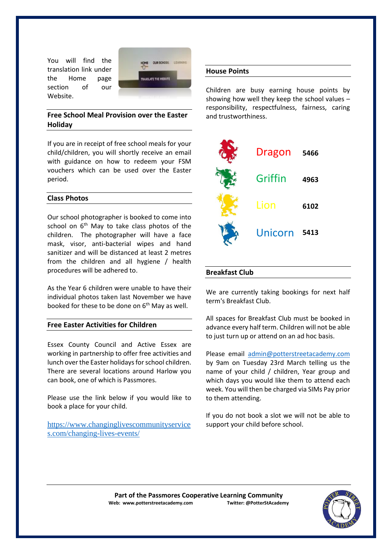You will find the translation link under the Home page section of our Website.



# **Free School Meal Provision over the Easter Holiday**

If you are in receipt of free school meals for your child/children, you will shortly receive an email with guidance on how to redeem your FSM vouchers which can be used over the Easter period.

# **Class Photos**

Our school photographer is booked to come into school on 6<sup>th</sup> May to take class photos of the children. The photographer will have a face mask, visor, anti-bacterial wipes and hand sanitizer and will be distanced at least 2 metres from the children and all hygiene / health procedures will be adhered to.

As the Year 6 children were unable to have their individual photos taken last November we have booked for these to be done on  $6<sup>th</sup>$  May as well.

#### **Free Easter Activities for Children**

Essex County Council and Active Essex are working in partnership to offer free activities and lunch over the Easter holidays for school children. There are several locations around Harlow you can book, one of which is Passmores.

Please use the link below if you would like to book a place for your child.

[https://www.changinglivescommunityservice](https://www.changinglivescommunityservices.com/changing-lives-events/) [s.com/changing-lives-events/](https://www.changinglivescommunityservices.com/changing-lives-events/)

### **House Points**

Children are busy earning house points by showing how well they keep the school values – responsibility, respectfulness, fairness, caring and trustworthiness.



#### **Breakfast Club**

We are currently taking bookings for next half term's Breakfast Club.

All spaces for Breakfast Club must be booked in advance every half term. Children will not be able to just turn up or attend on an ad hoc basis.

Please email [admin@potterstreetacademy.com](mailto:admin@potterstreetacademy.com) by 9am on Tuesday 23rd March telling us the name of your child / children, Year group and which days you would like them to attend each week. You will then be charged via SIMs Pay prior to them attending.

If you do not book a slot we will not be able to support your child before school.